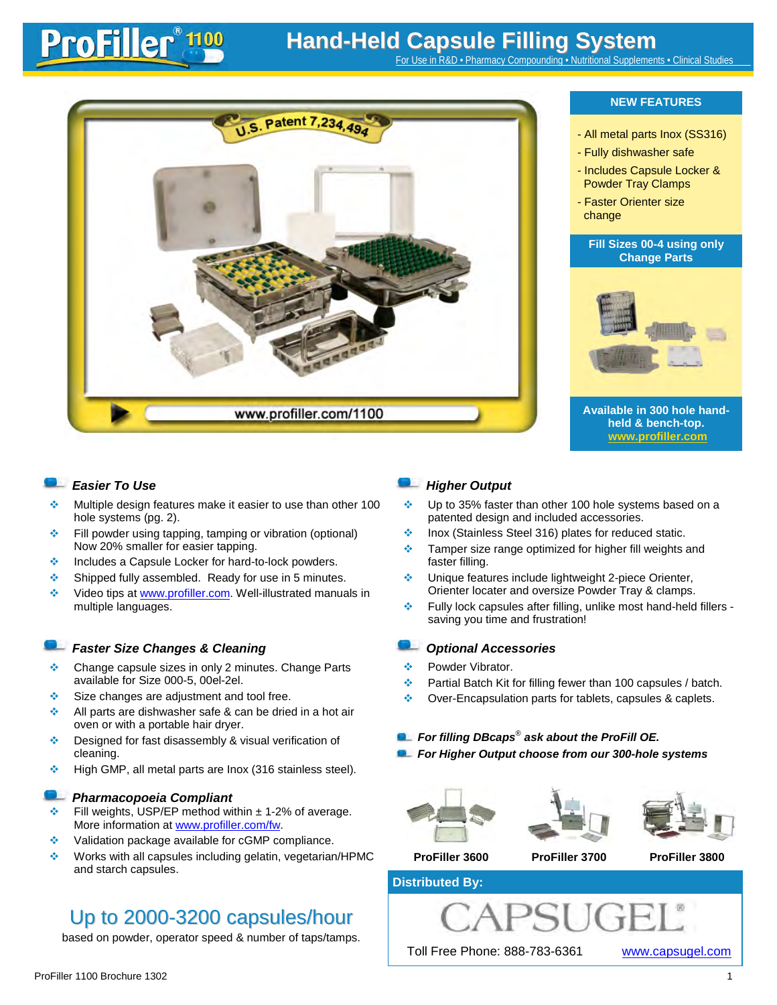# **Hand-Held Capsule Filling System**

For Use in R&D • Pharmacy Compounding •



ProFiller 1100

- $\cdot$  Multiple design features make it easier to use than other 100 hole systems (pg. 2).
- Fill powder using tapping, tamping or vibration (optional) Now 20% smaller for easier tapping.
- **♦ Includes a Capsule Locker for hard-to-lock powders.**
- $\triangleq$  Shipped fully assembled. Ready for use in 5 minutes.
- **◆** Video tips at www.profiller.com. Well-illustrated manuals in multiple languages.

### **Faster Size Changes & Cleaning Container** *Changes Community Continues Changes & Cleaning*

- Change capsule sizes in only 2 minutes. Change Parts available for Size 000-5, 00el-2el.
- Size changes are adjustment and tool free.
- $\triangleq$  All parts are dishwasher safe & can be dried in a hot air oven or with a portable hair dryer.
- ◆ Designed for fast disassembly & visual verification of cleaning.
- $\div$  High GMP, all metal parts are lnox (316 stainless steel).

### *Pharmacopoeia Compliant*

- Fill weights, USP/EP method within  $\pm$  1-2% of average. More information at www.profiller.com/fw.
- **◆ Validation package available for cGMP compliance.**
- Works with all capsules including gelatin, vegetarian/HPMC and starch capsules.

## Up to 2000-3200 capsules/hour

based on powder, operator speed & number of taps/tamps.

### *Easier To Use Higher Output*

- $\cdot$  Up to 35% faster than other 100 hole systems based on a patented design and included accessories.
- ◆ Inox (Stainless Steel 316) plates for reduced static.
- $\triangleq$  Tamper size range optimized for higher fill weights and faster filling.
- Unique features include lightweight 2-piece Orienter, Orienter locater and oversize Powder Tray & clamps.
- Fully lock capsules after filling, unlike most hand-held fillers saving you time and frustration!

- **Powder Vibrator**
- $\div$  Partial Batch Kit for filling fewer than 100 capsules / batch.
- ◆ Over-Encapsulation parts for tablets, capsules & caplets.

### *For filling DBcaps*® *ask about the ProFill OE.*

*For Higher Output choose from our 300-hole systems*







**ProFiller 3600 ProFiller 3700 ProFiller 3800**

### **Distributed By:**



ProFiller 1100 Brochure 1302 1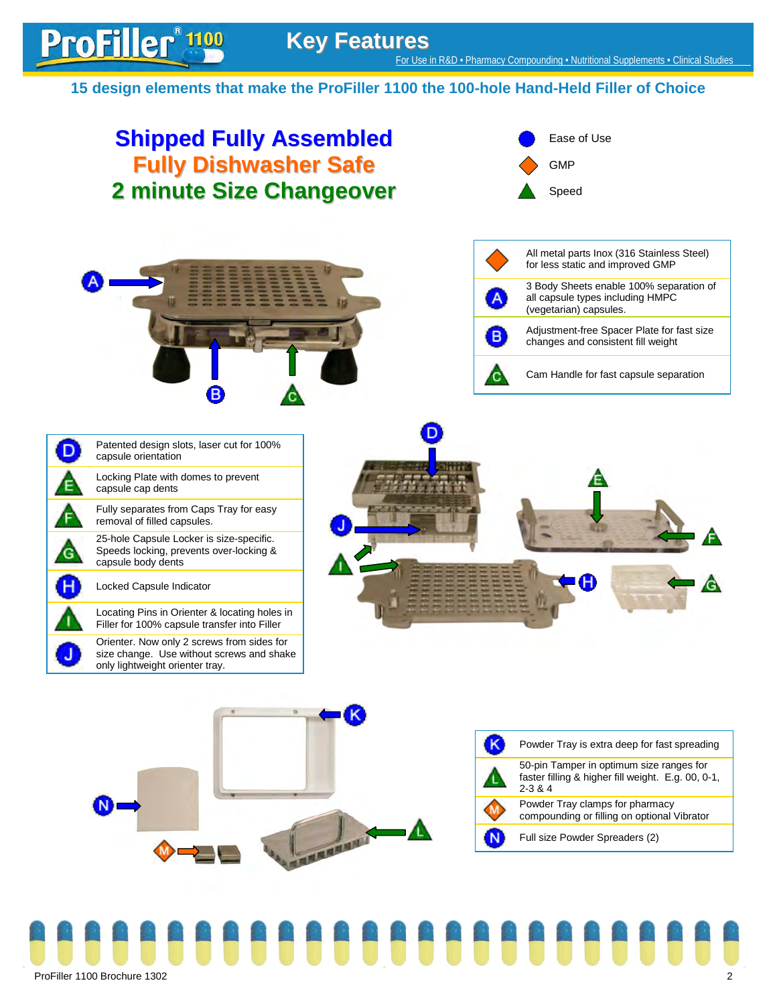### **15 design elements that make the ProFiller 1100 the 100-hole Hand-Held Filler of Choice**

## **Shipped Fully Assembled** Ease of Use **Fully Dishwasher Safe GMP 2 minute Size Changeover** Speed All metal parts Inox (316 Stainless Steel) for less static and improved GMP 3 Body Sheets enable 100% separation of all capsule types including HMPC (vegetarian) capsules. Adjustment-free Spacer Plate for fast size changes and consistent fill weight Cam Handle for fast capsule separation Patented design slots, laser cut for 100% D capsule orientation Locking Plate with domes to prevent E capsule cap dents Fully separates from Caps Tray for easy removal of filled capsules. 25-hole Capsule Locker is size-specific. Speeds locking, prevents over-locking & G capsule body dents Locked Capsule Indicator Locating Pins in Orienter & locating holes in Filler for 100% capsule transfer into Filler Orienter. Now only 2 screws from sides for size change. Use without screws and shake only lightweight orienter tray. Powder Tray is extra deep for fast spreading 50-pin Tamper in optimum size ranges for faster filling & higher fill weight. E.g. 00, 0-1,

2-3 & 4 Powder Tray clamps for pharmacy compounding or filling on optional Vibrator **MARGARET** N Full size Powder Spreaders (2)



ProFiller<sup>\*</sup><sup>1100</sup>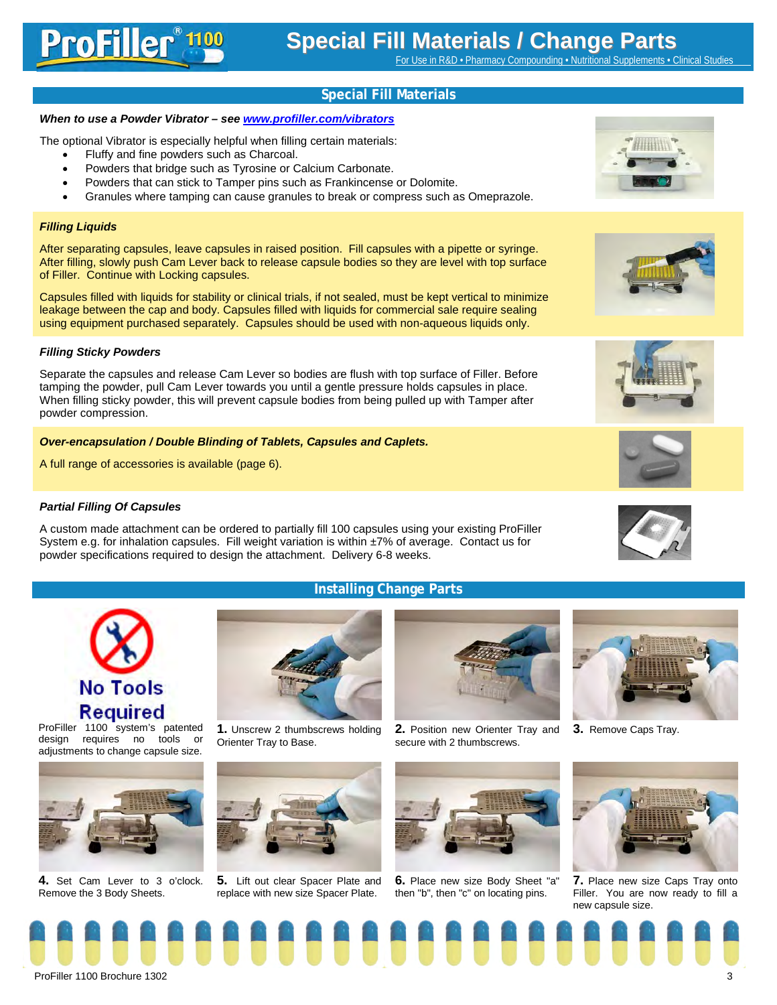**Special Fill Materials**

### *When to use a Powder Vibrator – see www.profiller.com/vibrators*

The optional Vibrator is especially helpful when filling certain materials:

- Fluffy and fine powders such as Charcoal.
- Powders that bridge such as Tyrosine or Calcium Carbonate.
- Powders that can stick to Tamper pins such as Frankincense or Dolomite.
- Granules where tamping can cause granules to break or compress such as Omeprazole.

### *Filling Liquids*

After separating capsules, leave capsules in raised position. Fill capsules with a pipette or syringe. After filling, slowly push Cam Lever back to release capsule bodies so they are level with top surface of Filler. Continue with Locking capsules.

Capsules filled with liquids for stability or clinical trials, if not sealed, must be kept vertical to minimize leakage between the cap and body. Capsules filled with liquids for commercial sale require sealing using equipment purchased separately. Capsules should be used with non-aqueous liquids only.

### *Filling Sticky Powders*

Separate the capsules and release Cam Lever so bodies are flush with top surface of Filler. Before tamping the powder, pull Cam Lever towards you until a gentle pressure holds capsules in place. When filling sticky powder, this will prevent capsule bodies from being pulled up with Tamper after powder compression.

### *Over-encapsulation / Double Blinding of Tablets, Capsules and Caplets.*

A full range of accessories is available (page 6).

### *Partial Filling Of Capsules*

A custom made attachment can be ordered to partially fill 100 capsules using your existing ProFiller System e.g. for inhalation capsules. Fill weight variation is within ±7% of average. Contact us for powder specifications required to design the attachment. Delivery 6-8 weeks.

### **Installing Change Parts**

8888888888888888



ProFiller 1100 system's patented design requires no tools or adjustments to change capsule size.



**4.** Set Cam Lever to 3 o'clock. Remove the 3 Body Sheets.





**5.** Lift out clear Spacer Plate and replace with new size Spacer Plate.



**2.** Position new Orienter Tray and **3.** Remove Caps Tray. secure with 2 thumbscrews.



**6.** Place new size Body Sheet "a" then "b", then "c" on locating pins.















**7.** Place new size Caps Tray onto Filler. You are now ready to fill a new capsule size.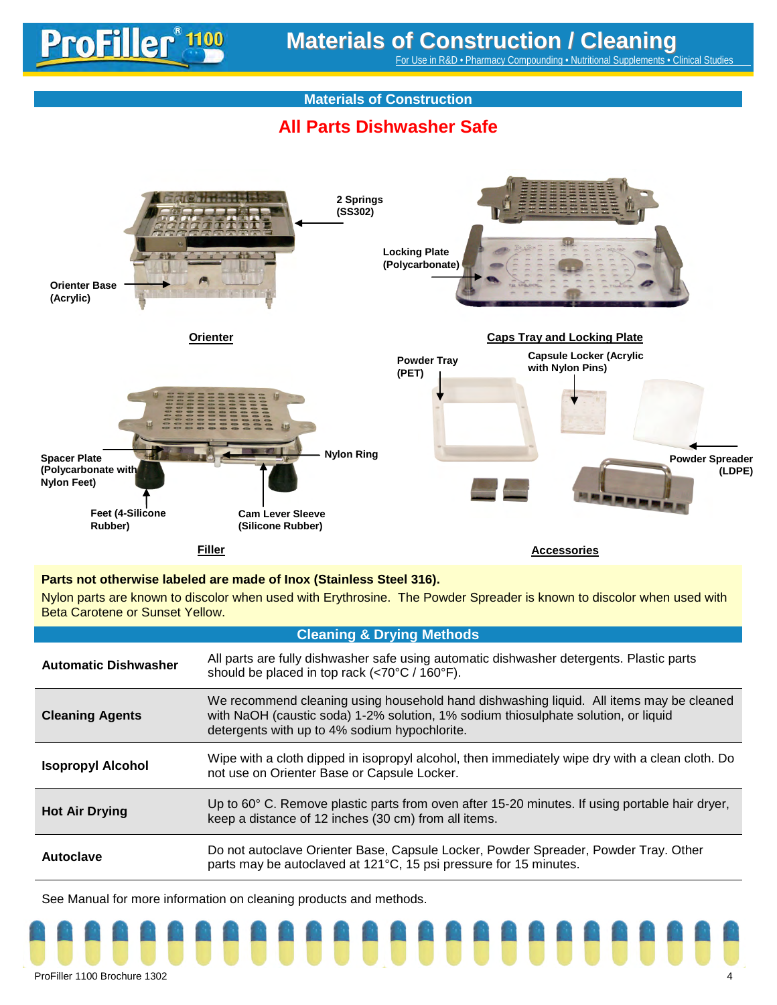For Use in R&D • Pharmacy Compounding • Nutritional Supplements • Clinical Studies

### **Materials of Construction**

## **All Parts Dishwasher Safe**



### **Parts not otherwise labeled are made of Inox (Stainless Steel 316).**

Nylon parts are known to discolor when used with Erythrosine. The Powder Spreader is known to discolor when used with Beta Carotene or Sunset Yellow.

| <b>Cleaning &amp; Drying Methods</b> |                                                                                                                                                                                                                                |  |  |  |
|--------------------------------------|--------------------------------------------------------------------------------------------------------------------------------------------------------------------------------------------------------------------------------|--|--|--|
| <b>Automatic Dishwasher</b>          | All parts are fully dishwasher safe using automatic dishwasher detergents. Plastic parts<br>should be placed in top rack (<70°C / 160°F).                                                                                      |  |  |  |
| <b>Cleaning Agents</b>               | We recommend cleaning using household hand dishwashing liquid. All items may be cleaned<br>with NaOH (caustic soda) 1-2% solution, 1% sodium thiosulphate solution, or liquid<br>detergents with up to 4% sodium hypochlorite. |  |  |  |
| <b>Isopropyl Alcohol</b>             | Wipe with a cloth dipped in isopropyl alcohol, then immediately wipe dry with a clean cloth. Do<br>not use on Orienter Base or Capsule Locker.                                                                                 |  |  |  |
| <b>Hot Air Drying</b>                | Up to 60° C. Remove plastic parts from oven after 15-20 minutes. If using portable hair dryer,<br>keep a distance of 12 inches (30 cm) from all items.                                                                         |  |  |  |
| Autoclave                            | Do not autoclave Orienter Base, Capsule Locker, Powder Spreader, Powder Tray. Other<br>parts may be autoclaved at 121°C, 15 psi pressure for 15 minutes.                                                                       |  |  |  |

See Manual for more information on cleaning products and methods.

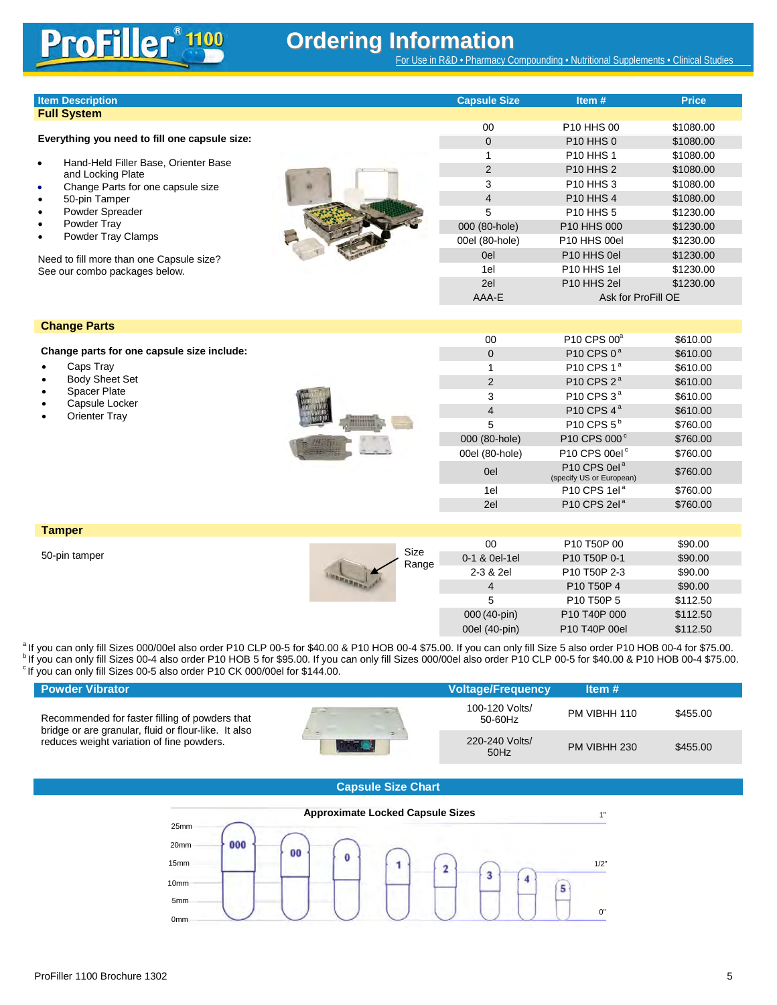# **Ordering Information**

For Use in R&D • Pharmacy Compounding • Nutritional Supplements • Clinical Studies

| <b>Item Description</b> | <b>Capsule Size</b> | Item $#$ | Price |
|-------------------------|---------------------|----------|-------|
| <b>Full System</b>      |                     |          |       |

### **Everything you need to fill one capsule size:**

- Hand-Held Filler Base, Orienter Base and Locking Plate
- Change Parts for one capsule size
- 50-pin Tamper
- Powder Spreader
- Powder Tray
- Powder Tray Clamps

Need to fill more than one Capsule size? See our combo packages below.

| 00             | P <sub>10</sub> H <sub>HS</sub> 00 | \$1080.00 |
|----------------|------------------------------------|-----------|
| 0              | <b>P10 HHS 0</b>                   | \$1080.00 |
| 1              | <b>P10 HHS 1</b>                   | \$1080.00 |
| 2              | <b>P10 HHS 2</b>                   | \$1080.00 |
| 3              | <b>P10 HHS 3</b>                   | \$1080.00 |
| $\overline{4}$ | <b>P10 HHS 4</b>                   | \$1080.00 |
| 5              | <b>P10 HHS 5</b>                   | \$1230.00 |
| 000 (80-hole)  | P <sub>10</sub> HHS 000            | \$1230.00 |
| 00el (80-hole) | P <sub>10</sub> HHS 00el           | \$1230.00 |
| 0el            | P <sub>10</sub> HHS 0el            | \$1230.00 |
| 1el            | P <sub>10</sub> HHS 1el            | \$1230.00 |
| 2el            | P <sub>10</sub> HHS 2el            | \$1230.00 |
| AAA-F          | Ask for ProFill OE                 |           |

### **Change Parts**

**Change parts for one capsule size include:**

- Caps Tray
- **Body Sheet Set**
- Spacer Plate
- Capsule Locker
- **Orienter Tray**

|                                                                                                                                                                                                                                                                                                                                                                                                                                                        | ٠<br>--<br>---------<br><br><b>NAME OF GROOM OF COLUMN</b><br><b><i><u>A MAR A MAR A MAR A</u></i></b><br><b>WELFARE STATE</b><br>----<br>٠<br>-<br>-<br><br>٠<br>ь<br>٠<br>٠<br><b>Side of</b><br>-<br>۰<br>۰ |
|--------------------------------------------------------------------------------------------------------------------------------------------------------------------------------------------------------------------------------------------------------------------------------------------------------------------------------------------------------------------------------------------------------------------------------------------------------|----------------------------------------------------------------------------------------------------------------------------------------------------------------------------------------------------------------|
| <b>A CARD CARDS</b><br><b>THE REAL PROPERTY</b><br><b>STATISTICS</b><br><b><i>A STATE OF THE STATE OF</i></b><br><b><i><u>Property Contract Contract Contract Contract Contract Contract Contract Contract Contract Contract Contract Contract Contract Contract Contract Contract Contract Contract Contract Contract Contract Contract Contract Con</u></i></b><br>and does a wide a sixty<br>2<br><b>CONTRACTOR</b> CONTRACTOR<br>$= 0$<br>--<br>-- |                                                                                                                                                                                                                |

| 0              | P10 CPS 0 <sup>a</sup>                               | \$610.00 |  |
|----------------|------------------------------------------------------|----------|--|
| 1              | P10 CPS 1 <sup>a</sup>                               | \$610.00 |  |
| 2              | P10 CPS 2 <sup>ª</sup>                               | \$610.00 |  |
| 3              | P <sub>10</sub> CPS 3 <sup>ª</sup>                   | \$610.00 |  |
| 4              | P10 CPS 4 <sup>ª</sup>                               | \$610.00 |  |
| 5              | P10 CPS 5 <sup>b</sup>                               | \$760.00 |  |
| 000 (80-hole)  | P10 CPS 000°                                         | \$760.00 |  |
| 00el (80-hole) | P10 CPS 00el <sup>c</sup>                            | \$760.00 |  |
| 0el            | P10 CPS 0el <sup>a</sup><br>(specify US or European) | \$760.00 |  |
| 1el            | P10 CPS 1el <sup>a</sup>                             | \$760.00 |  |
| 2el            | P10 CPS 2el <sup>a</sup>                             | \$760.00 |  |
|                |                                                      |          |  |

00 P10 CPS 00<sup>a</sup> \$610.00

**Tamper**

50-pin tamper

| Size<br>Range | 00            | P10 T50P 00   | \$90.00                                        |          |
|---------------|---------------|---------------|------------------------------------------------|----------|
|               | 0-1 & 0el-1el | P10 T50P 0-1  | \$90.00                                        |          |
|               | 2-3 & 2el     | P10 T50P 2-3  | \$90.00                                        |          |
|               | 4             | P10 T50P 4    | \$90.00                                        |          |
|               |               | 5             | P <sub>10</sub> T <sub>50</sub> P <sub>5</sub> | \$112.50 |
|               |               | 000 (40-pin)  | P10 T40P 000                                   | \$112.50 |
|               |               | 00el (40-pin) | P10 T40P 00el                                  | \$112.50 |

<sup>a</sup>lf you can only fill Sizes 000/00el also order P10 CLP 00-5 for \$40.00 & P10 HOB 00-4 \$75.00. If you can only fill Size 5 also order P10 HOB 00-4 for \$75.00.<br><sup>b</sup> If you can only fill Sizes 00-4 also order P10 HOB 5 for

| <b>Powder Vibrator</b>                                                                            | <b>Voltage/Frequency</b>  | Item $#$     |          |
|---------------------------------------------------------------------------------------------------|---------------------------|--------------|----------|
| Recommended for faster filling of powders that                                                    | 100-120 Volts/<br>50-60Hz | PM VIBHH 110 | \$455.00 |
| bridge or are granular, fluid or flour-like. It also<br>reduces weight variation of fine powders. | 220-240 Volts/<br>50Hz    | PM VIBHH 230 | \$455.00 |

### **Capsule Size Chart**

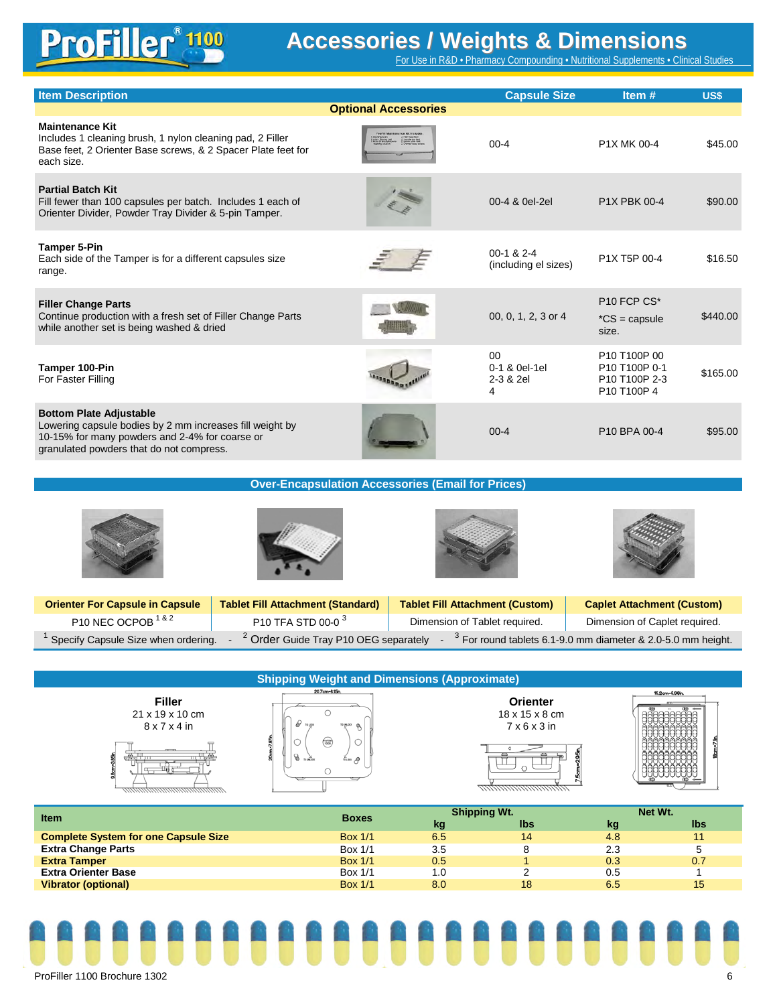# **ProFiller 19**

# **Accessories / Weights & Dimensions**

For Use in R&D • Pharmacy Compounding • Nutritional Supplements • Clinical Studies

| <b>Item Description</b>                                                                                                                                                                  |                             | <b>Capsule Size</b>                               | Item#                                                                                             | US\$     |
|------------------------------------------------------------------------------------------------------------------------------------------------------------------------------------------|-----------------------------|---------------------------------------------------|---------------------------------------------------------------------------------------------------|----------|
|                                                                                                                                                                                          | <b>Optional Accessories</b> |                                                   |                                                                                                   |          |
| <b>Maintenance Kit</b><br>Includes 1 cleaning brush, 1 nylon cleaning pad, 2 Filler<br>Base feet, 2 Orienter Base screws, & 2 Spacer Plate feet for<br>each size.                        |                             | $00 - 4$                                          | P1X MK 00-4                                                                                       | \$45.00  |
| <b>Partial Batch Kit</b><br>Fill fewer than 100 capsules per batch. Includes 1 each of<br>Orienter Divider, Powder Tray Divider & 5-pin Tamper.                                          |                             | 00-4 & 0el-2el                                    | P1X PBK 00-4                                                                                      | \$90.00  |
| <b>Tamper 5-Pin</b><br>Each side of the Tamper is for a different capsules size<br>range.                                                                                                |                             | $00-1$ & $2-4$<br>(including el sizes)            | P1X T5P 00-4                                                                                      | \$16.50  |
| <b>Filler Change Parts</b><br>Continue production with a fresh set of Filler Change Parts<br>while another set is being washed & dried                                                   |                             | 00, 0, 1, 2, 3 or 4                               | P10 FCP CS*<br>$^{\ast}CS = \text{capsule}$<br>size.                                              | \$440.00 |
| Tamper 100-Pin<br>For Faster Filling                                                                                                                                                     |                             | 0 <sup>0</sup><br>0-1 & 0el-1el<br>2-3 & 2el<br>4 | P <sub>10</sub> T <sub>100</sub> P <sub>00</sub><br>P10 T100P 0-1<br>P10 T100P 2-3<br>P10 T100P 4 | \$165.00 |
| <b>Bottom Plate Adjustable</b><br>Lowering capsule bodies by 2 mm increases fill weight by<br>10-15% for many powders and 2-4% for coarse or<br>granulated powders that do not compress. |                             | $00 - 4$                                          | P10 BPA 00-4                                                                                      | \$95.00  |

**Over-Encapsulation Accessories (Email for Prices)**

| <b>Orienter For Capsule in Capsule</b> | <b>Tablet Fill Attachment (Standard)</b>         | <b>Tablet Fill Attachment (Custom)</b> | <b>Caplet Attachment (Custom)</b>                              |
|----------------------------------------|--------------------------------------------------|----------------------------------------|----------------------------------------------------------------|
| P10 NEC OCPOB <sup>1&amp;2</sup>       | P10 TFA STD 00-0 <sup>3</sup>                    | Dimension of Tablet required.          | Dimension of Caplet required.                                  |
| Specify Capsule Size when ordering.    | <sup>2</sup> Order Guide Tray P10 OEG separately |                                        | $3$ For round tablets 6.1-9.0 mm diameter & 2.0-5.0 mm height. |

| <b>Shipping Weight and Dimensions (Approximate)</b>                                      |                                                         |                     |                                                                                          |             |                |  |  |
|------------------------------------------------------------------------------------------|---------------------------------------------------------|---------------------|------------------------------------------------------------------------------------------|-------------|----------------|--|--|
| <b>Filler</b><br>21 x 19 x 10 cm<br>$8 \times 7 \times 4$ in<br>matamatanananananahantan | 20.7cm-8.15in.<br>TO UNLOCK<br>(m)<br>$\frac{1}{10100}$ |                     | <b>Orienter</b><br>18 x 15 x 8 cm<br>$7 \times 6 \times 3$ in<br>1111<br>,,,,,,,,,,,,,,, |             | 15.2cm-5.98in. |  |  |
| <b>Item</b>                                                                              | <b>Boxes</b>                                            | <b>Shipping Wt.</b> |                                                                                          |             | Net Wt.        |  |  |
|                                                                                          |                                                         | kg                  | <b>Ibs</b>                                                                               | kg          | Ibs            |  |  |
| Complete Cuptom for ano Concule Cine                                                     | $D_{av}$ $4/4$                                          | C E                 | $\overline{A}$                                                                           | $\Lambda$ O | $\overline{A}$ |  |  |

| item.                                       |                |     |     |     |     |
|---------------------------------------------|----------------|-----|-----|-----|-----|
|                                             | <b>BOXES</b>   | kg  | lbs | kg  | lbs |
| <b>Complete System for one Capsule Size</b> | <b>Box 1/1</b> | 6.5 | 14  | 4.8 |     |
| <b>Extra Change Parts</b>                   | Box 1/1        | 3.5 |     | 2.3 |     |
| <b>Extra Tamper</b>                         | <b>Box 1/1</b> | 0.5 |     | 0.3 | 0.7 |
| <b>Extra Orienter Base</b>                  | Box 1/1        |     |     | 0.5 |     |
| <b>Vibrator (optional)</b>                  | <b>Box 1/1</b> | 8.0 | 18  | 6.5 | 15  |
|                                             |                |     |     |     |     |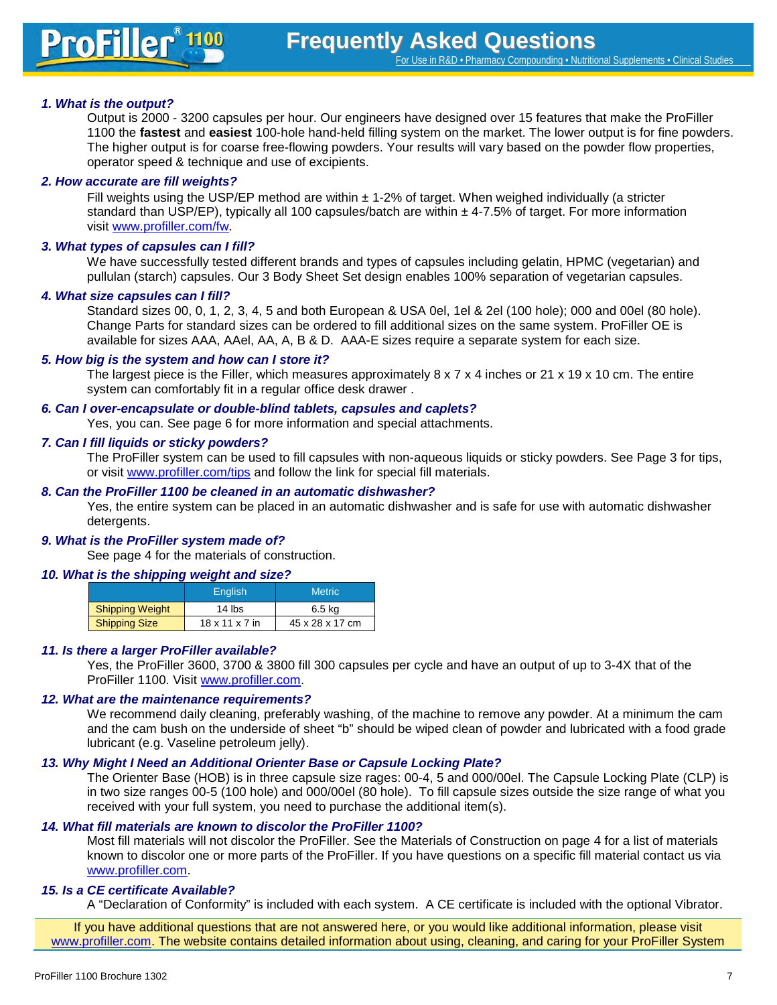### *1. What is the output?*

Output is 2000 - 3200 capsules per hour. Our engineers have designed over 15 features that make the ProFiller 1100 the **fastest** and **easiest** 100-hole hand-held filling system on the market. The lower output is for fine powders. The higher output is for coarse free-flowing powders. Your results will vary based on the powder flow properties. operator speed & technique and use of excipients.

### *2. How accurate are fill weights?*

Fill weights using the USP/EP method are within ± 1-2% of target. When weighed individually (a stricter standard than USP/EP), typically all 100 capsules/batch are within  $\pm$  4-7.5% of target. For more information visit [www.profiller.com/fw.](http://www.profiller.com/fw)

### *3. What types of capsules can I fill?*

We have successfully tested different brands and types of capsules including gelatin, HPMC (vegetarian) and pullulan (starch) capsules. Our 3 Body Sheet Set design enables 100% separation of vegetarian capsules.

### *4. What size capsules can I fill?*

Standard sizes 00, 0, 1, 2, 3, 4, 5 and both European & USA 0el, 1el & 2el (100 hole); 000 and 00el (80 hole). Change Parts for standard sizes can be ordered to fill additional sizes on the same system. ProFiller OE is available for sizes AAA, AAel, AA, A, B & D. AAA-E sizes require a separate system for each size.

### *5. How big is the system and how can I store it?*

The largest piece is the Filler, which measures approximately  $8 \times 7 \times 4$  inches or  $21 \times 19 \times 10$  cm. The entire system can comfortably fit in a regular office desk drawer .

### *6. Can I over-encapsulate or double-blind tablets, capsules and caplets?*

Yes, you can. See page 6 for more information and special attachments.

### *7. Can I fill liquids or sticky powders?*

The ProFiller system can be used to fill capsules with non-aqueous liquids or sticky powders. See Page 3 for tips, or visit www.profiller.com/tips and follow the link for special fill materials.

### *8. Can the ProFiller 1100 be cleaned in an automatic dishwasher?*

Yes, the entire system can be placed in an automatic dishwasher and is safe for use with automatic dishwasher detergents.

### *9. What is the ProFiller system made of?*

See page 4 for the materials of construction.

### *10. What is the shipping weight and size?*

|                        | <b>English</b> | <b>Metric</b>   |
|------------------------|----------------|-----------------|
| <b>Shipping Weight</b> | 14 $\,$ lbs    | 6.5 ka          |
| <b>Shipping Size</b>   | 18 x 11 x 7 in | 45 x 28 x 17 cm |

### *11. Is there a larger ProFiller available?*

Yes, the ProFiller 3600, 3700 & 3800 fill 300 capsules per cycle and have an output of up to 3-4X that of the ProFiller 1100. Visit [www.profiller.com.](http://www.profiller.com/)

### *12. What are the maintenance requirements?*

We recommend daily cleaning, preferably washing, of the machine to remove any powder. At a minimum the cam and the cam bush on the underside of sheet "b" should be wiped clean of powder and lubricated with a food grade lubricant (e.g. Vaseline petroleum jelly).

### *13. Why Might I Need an Additional Orienter Base or Capsule Locking Plate?*

The Orienter Base (HOB) is in three capsule size rages: 00-4, 5 and 000/00el. The Capsule Locking Plate (CLP) is in two size ranges 00-5 (100 hole) and 000/00el (80 hole). To fill capsule sizes outside the size range of what you received with your full system, you need to purchase the additional item(s).

### *14. What fill materials are known to discolor the ProFiller 1100?*

Most fill materials will not discolor the ProFiller. See the Materials of Construction on page 4 for a list of materials known to discolor one or more parts of the ProFiller. If you have questions on a specific fill material contact us via www.profiller.com.

### *15. Is a CE certificate Available?*

A "Declaration of Conformity" is included with each system. A CE certificate is included with the optional Vibrator.

If you have additional questions that are not answered here, or you would like additional information, please visit www.profiller.com. The website contains detailed information about using, cleaning, and caring for your ProFiller System